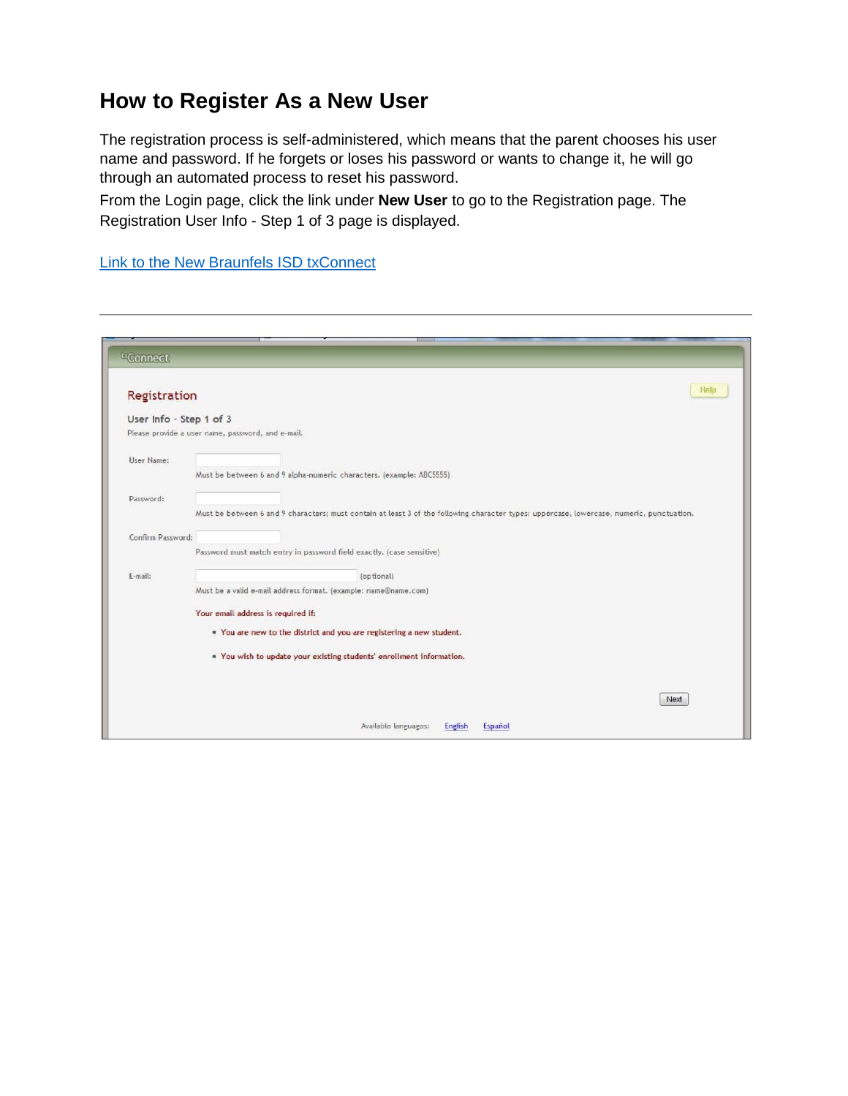# **How to Register As a New User**

The registration process is self-administered, which means that the parent chooses his user name and password. If he forgets or loses his password or wants to change it, he will go through an automated process to reset his password.

From the Login page, click the link under **New User** to go to the Registration page. The Registration User Info - Step 1 of 3 page is displayed.

[Link to the New Braunfels ISD txConnect](https://txconnpa.esc13.net/PANB/login.aspx)

| Registration            |                                                                                                                                           | Help |
|-------------------------|-------------------------------------------------------------------------------------------------------------------------------------------|------|
| User Info - Step 1 of 3 |                                                                                                                                           |      |
|                         | Please provide a user name, password, and e-mail.                                                                                         |      |
| User Name:              |                                                                                                                                           |      |
|                         | Must be between 6 and 9 alpha-numeric characters. (example: ABC5555)                                                                      |      |
| Password:               |                                                                                                                                           |      |
|                         | Must be between 6 and 9 characters; must contain at least 3 of the following character types: uppercase, lowercase, numeric, punctuation. |      |
| Confirm Password:       |                                                                                                                                           |      |
|                         | Password must match entry in password field exactly. (case sensitive)                                                                     |      |
| E-mail:                 | (optional)                                                                                                                                |      |
|                         | Must be a valid e-mail address format. (example: name@name.com)                                                                           |      |
|                         | Your email address is required if:                                                                                                        |      |
|                         | . You are new to the district and you are registering a new student.                                                                      |      |
|                         | . You wish to update your existing students' enrollment information.                                                                      |      |
|                         |                                                                                                                                           |      |
|                         |                                                                                                                                           | Next |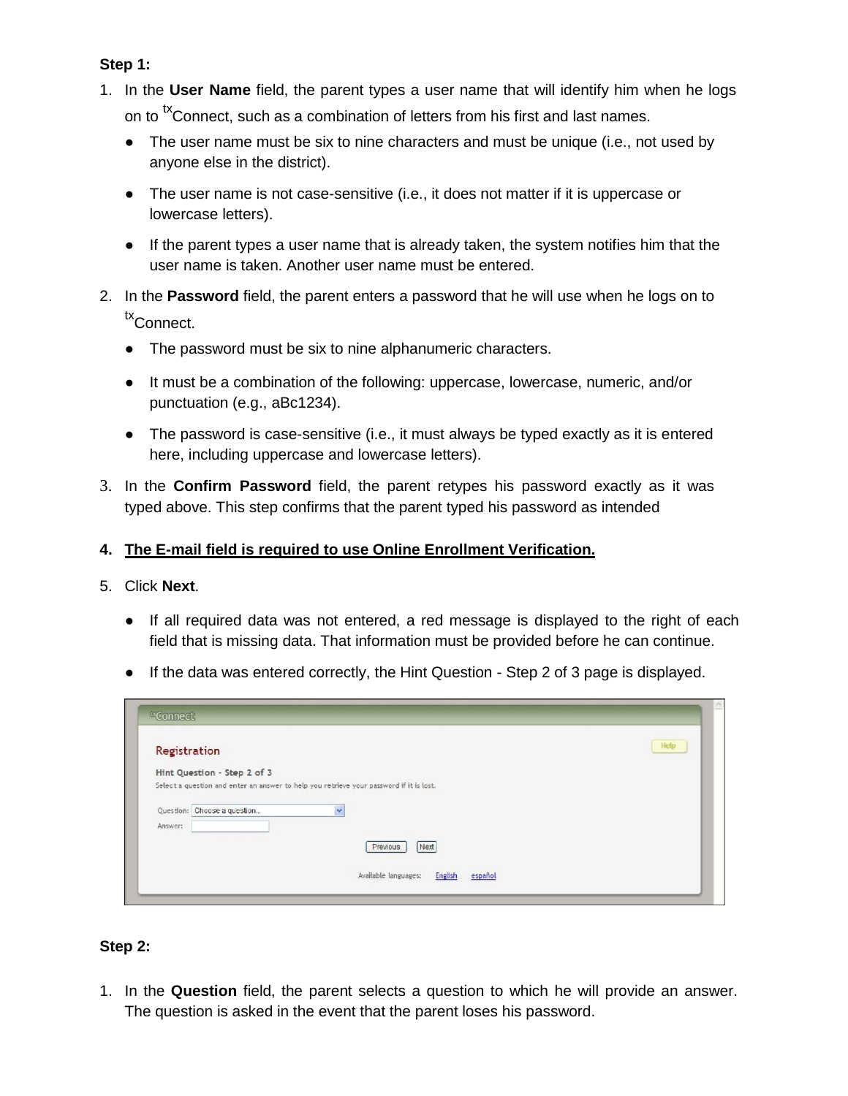### **Step 1:**

- 1. In the **User Name** field, the parent types a user name that will identify him when he logs on to <sup>tx</sup>Connect, such as a combination of letters from his first and last names.
	- The user name must be six to nine characters and must be unique (i.e., not used by anyone else in the district).
	- The user name is not case-sensitive (i.e., it does not matter if it is uppercase or lowercase letters).
	- If the parent types a user name that is already taken, the system notifies him that the user name is taken. Another user name must be entered.
- 2. In the **Password** field, the parent enters a password that he will use when he logs on to tx<sub>Connect.</sub>
	- The password must be six to nine alphanumeric characters.
	- It must be a combination of the following: uppercase, lowercase, numeric, and/or punctuation (e.g., aBc1234).
	- The password is case-sensitive (i.e., it must always be typed exactly as it is entered here, including uppercase and lowercase letters).
- 3. In the **Confirm Password** field, the parent retypes his password exactly as it was typed above. This step confirms that the parent typed his password as intended

## **4. The E-mail field is required to use Online Enrollment Verification.**

- 5. Click **Next**.
	- If all required data was not entered, a red message is displayed to the right of each field that is missing data. That information must be provided before he can continue.
	- If the data was entered correctly, the Hint Question Step 2 of 3 page is displayed.

| Registration                |                                                                                         | <b>Help</b> |
|-----------------------------|-----------------------------------------------------------------------------------------|-------------|
| Hint Question - Step 2 of 3 |                                                                                         |             |
|                             | Select a question and enter an answer to help you retrieve your password if it is lost. |             |
| Question: Choose a question | Y                                                                                       |             |
| Answer:                     |                                                                                         |             |
|                             |                                                                                         |             |
|                             | Next<br>Previous                                                                        |             |

## **Step 2:**

1. In the **Question** field, the parent selects a question to which he will provide an answer. The question is asked in the event that the parent loses his password.